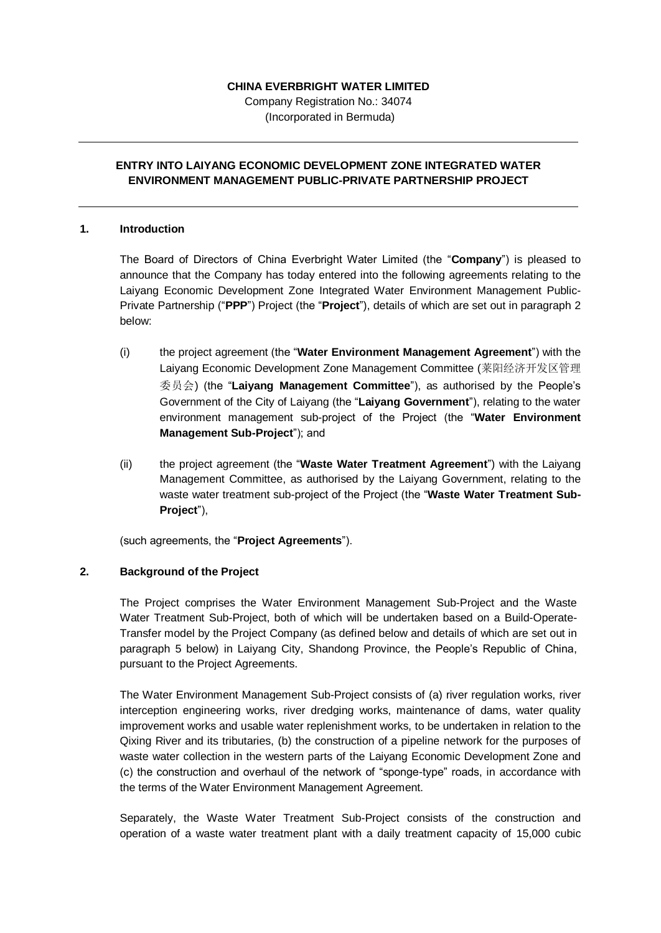#### **CHINA EVERBRIGHT WATER LIMITED**

Company Registration No.: 34074 (Incorporated in Bermuda)

# **ENTRY INTO LAIYANG ECONOMIC DEVELOPMENT ZONE INTEGRATED WATER ENVIRONMENT MANAGEMENT PUBLIC-PRIVATE PARTNERSHIP PROJECT**

## **1. Introduction**

The Board of Directors of China Everbright Water Limited (the "**Company**") is pleased to announce that the Company has today entered into the following agreements relating to the Laiyang Economic Development Zone Integrated Water Environment Management Public-Private Partnership ("**PPP**") Project (the "**Project**"), details of which are set out in paragraph [2](#page-0-0) below:

- (i) the project agreement (the "**Water Environment Management Agreement**") with the Laiyang Economic Development Zone Management Committee (莱阳经济开发区管理 委员会) (the "**Laiyang Management Committee**"), as authorised by the People's Government of the City of Laiyang (the "**Laiyang Government**"), relating to the water environment management sub-project of the Project (the "**Water Environment Management Sub-Project**"); and
- (ii) the project agreement (the "**Waste Water Treatment Agreement**") with the Laiyang Management Committee, as authorised by the Laiyang Government, relating to the waste water treatment sub-project of the Project (the "**Waste Water Treatment Sub-Project**"),

(such agreements, the "**Project Agreements**").

## <span id="page-0-0"></span>**2. Background of the Project**

The Project comprises the Water Environment Management Sub-Project and the Waste Water Treatment Sub-Project, both of which will be undertaken based on a Build-Operate-Transfer model by the Project Company (as defined below and details of which are set out in paragraph 5 below) in Laiyang City, Shandong Province, the People's Republic of China, pursuant to the Project Agreements.

The Water Environment Management Sub-Project consists of (a) river regulation works, river interception engineering works, river dredging works, maintenance of dams, water quality improvement works and usable water replenishment works, to be undertaken in relation to the Qixing River and its tributaries, (b) the construction of a pipeline network for the purposes of waste water collection in the western parts of the Laiyang Economic Development Zone and (c) the construction and overhaul of the network of "sponge-type" roads, in accordance with the terms of the Water Environment Management Agreement.

Separately, the Waste Water Treatment Sub-Project consists of the construction and operation of a waste water treatment plant with a daily treatment capacity of 15,000 cubic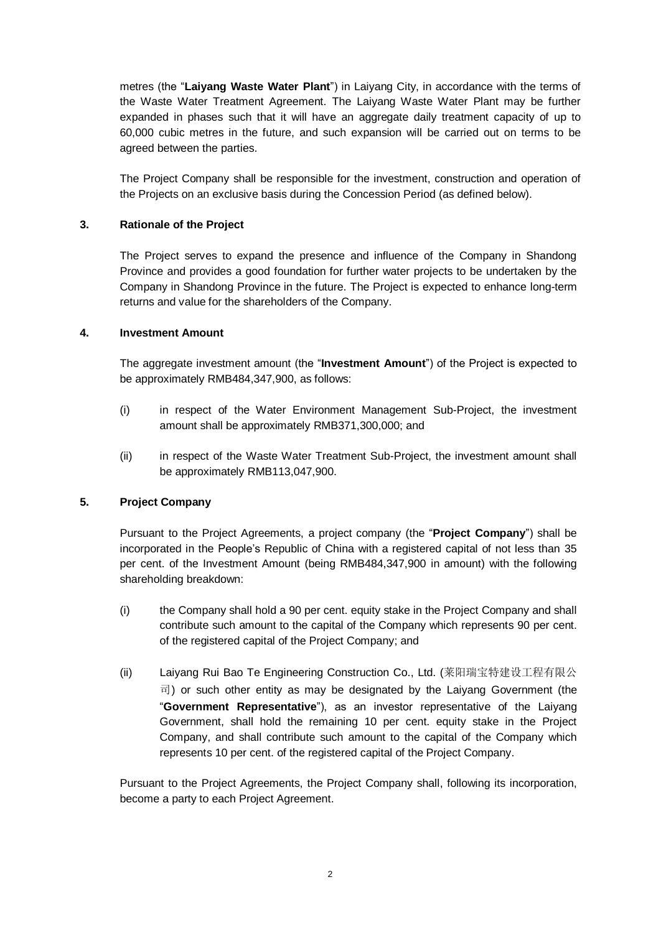metres (the "**Laiyang Waste Water Plant**") in Laiyang City, in accordance with the terms of the Waste Water Treatment Agreement. The Laiyang Waste Water Plant may be further expanded in phases such that it will have an aggregate daily treatment capacity of up to 60,000 cubic metres in the future, and such expansion will be carried out on terms to be agreed between the parties.

The Project Company shall be responsible for the investment, construction and operation of the Projects on an exclusive basis during the Concession Period (as defined below).

## **3. Rationale of the Project**

The Project serves to expand the presence and influence of the Company in Shandong Province and provides a good foundation for further water projects to be undertaken by the Company in Shandong Province in the future. The Project is expected to enhance long-term returns and value for the shareholders of the Company.

#### **4. Investment Amount**

The aggregate investment amount (the "**Investment Amount**") of the Project is expected to be approximately RMB484,347,900, as follows:

- (i) in respect of the Water Environment Management Sub-Project, the investment amount shall be approximately RMB371,300,000; and
- (ii) in respect of the Waste Water Treatment Sub-Project, the investment amount shall be approximately RMB113,047,900.

## **5. Project Company**

Pursuant to the Project Agreements, a project company (the "**Project Company**") shall be incorporated in the People's Republic of China with a registered capital of not less than 35 per cent. of the Investment Amount (being RMB484,347,900 in amount) with the following shareholding breakdown:

- (i) the Company shall hold a 90 per cent. equity stake in the Project Company and shall contribute such amount to the capital of the Company which represents 90 per cent. of the registered capital of the Project Company; and
- (ii) Laiyang Rui Bao Te Engineering Construction Co., Ltd. (莱阳瑞宝特建设工程有限公 司) or such other entity as may be designated by the Laiyang Government (the "**Government Representative**"), as an investor representative of the Laiyang Government, shall hold the remaining 10 per cent. equity stake in the Project Company, and shall contribute such amount to the capital of the Company which represents 10 per cent. of the registered capital of the Project Company.

Pursuant to the Project Agreements, the Project Company shall, following its incorporation, become a party to each Project Agreement.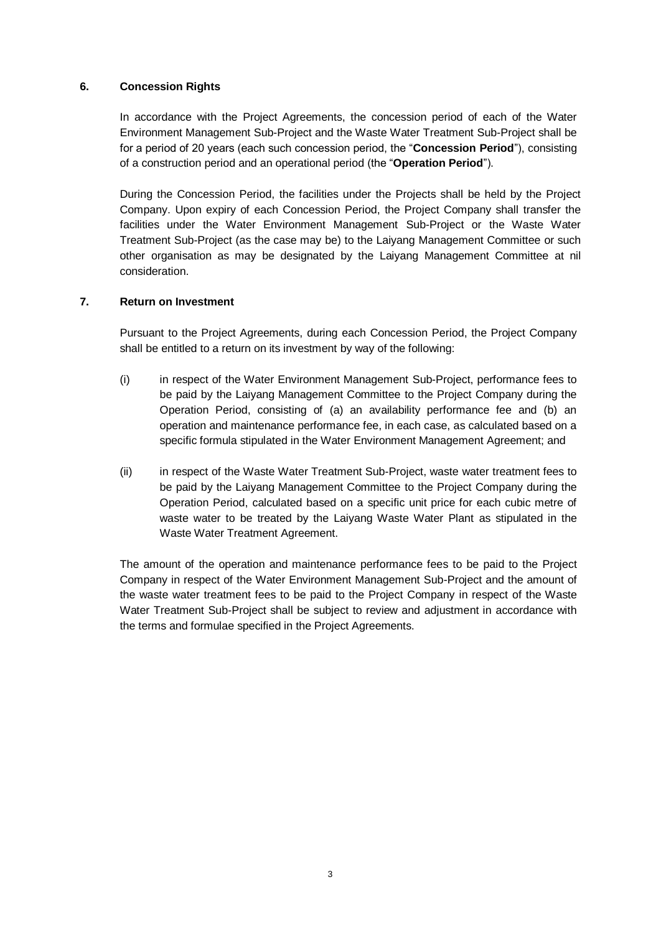## **6. Concession Rights**

In accordance with the Project Agreements, the concession period of each of the Water Environment Management Sub-Project and the Waste Water Treatment Sub-Project shall be for a period of 20 years (each such concession period, the "**Concession Period**"), consisting of a construction period and an operational period (the "**Operation Period**").

During the Concession Period, the facilities under the Projects shall be held by the Project Company. Upon expiry of each Concession Period, the Project Company shall transfer the facilities under the Water Environment Management Sub-Project or the Waste Water Treatment Sub-Project (as the case may be) to the Laiyang Management Committee or such other organisation as may be designated by the Laiyang Management Committee at nil consideration.

## **7. Return on Investment**

Pursuant to the Project Agreements, during each Concession Period, the Project Company shall be entitled to a return on its investment by way of the following:

- (i) in respect of the Water Environment Management Sub-Project, performance fees to be paid by the Laiyang Management Committee to the Project Company during the Operation Period, consisting of (a) an availability performance fee and (b) an operation and maintenance performance fee, in each case, as calculated based on a specific formula stipulated in the Water Environment Management Agreement; and
- (ii) in respect of the Waste Water Treatment Sub-Project, waste water treatment fees to be paid by the Laiyang Management Committee to the Project Company during the Operation Period, calculated based on a specific unit price for each cubic metre of waste water to be treated by the Laiyang Waste Water Plant as stipulated in the Waste Water Treatment Agreement.

The amount of the operation and maintenance performance fees to be paid to the Project Company in respect of the Water Environment Management Sub-Project and the amount of the waste water treatment fees to be paid to the Project Company in respect of the Waste Water Treatment Sub-Project shall be subject to review and adjustment in accordance with the terms and formulae specified in the Project Agreements.